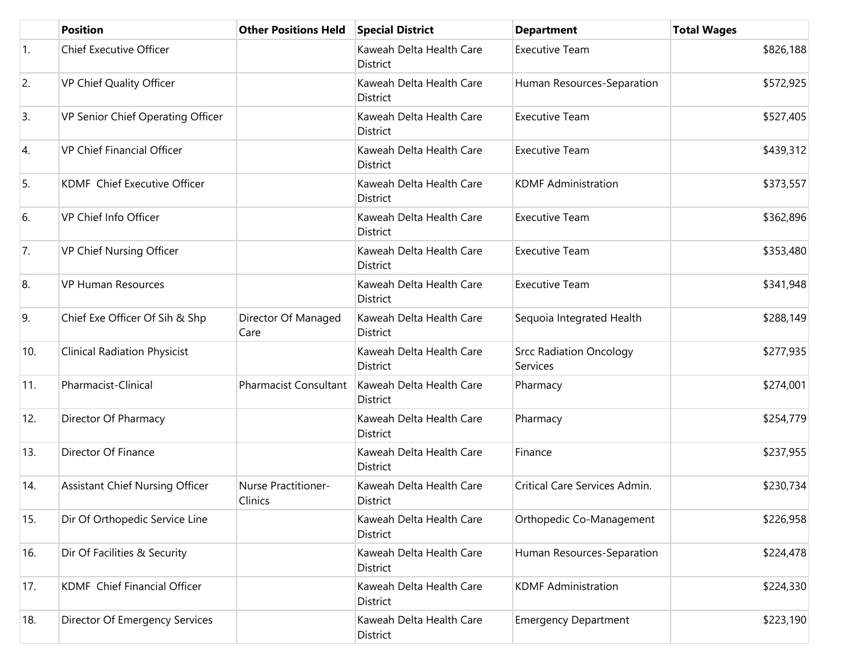|            | <b>Position</b>                        | <b>Other Positions Held</b>    | <b>Special District</b>              | <b>Department</b>                          | <b>Total Wages</b> |
|------------|----------------------------------------|--------------------------------|--------------------------------------|--------------------------------------------|--------------------|
| $\vert$ 1. | <b>Chief Executive Officer</b>         |                                | Kaweah Delta Health Care<br>District | <b>Executive Team</b>                      | \$826,188          |
| 2.         | VP Chief Quality Officer               |                                | Kaweah Delta Health Care<br>District | Human Resources-Separation                 | \$572,925          |
| 3.         | VP Senior Chief Operating Officer      |                                | Kaweah Delta Health Care<br>District | <b>Executive Team</b>                      | \$527,405          |
| 4.         | <b>VP Chief Financial Officer</b>      |                                | Kaweah Delta Health Care<br>District | <b>Executive Team</b>                      | \$439,312          |
| 5.         | KDMF Chief Executive Officer           |                                | Kaweah Delta Health Care<br>District | <b>KDMF Administration</b>                 | \$373,557          |
| 6.         | VP Chief Info Officer                  |                                | Kaweah Delta Health Care<br>District | <b>Executive Team</b>                      | \$362,896          |
| 7.         | VP Chief Nursing Officer               |                                | Kaweah Delta Health Care<br>District | <b>Executive Team</b>                      | \$353,480          |
| 8.         | <b>VP Human Resources</b>              |                                | Kaweah Delta Health Care<br>District | <b>Executive Team</b>                      | \$341,948          |
| 9.         | Chief Exe Officer Of Sih & Shp         | Director Of Managed<br>Care    | Kaweah Delta Health Care<br>District | Sequoia Integrated Health                  | \$288,149          |
| 10.        | <b>Clinical Radiation Physicist</b>    |                                | Kaweah Delta Health Care<br>District | <b>Srcc Radiation Oncology</b><br>Services | \$277,935          |
| 11.        | Pharmacist-Clinical                    | <b>Pharmacist Consultant</b>   | Kaweah Delta Health Care<br>District | Pharmacy                                   | \$274,001          |
| 12.        | Director Of Pharmacy                   |                                | Kaweah Delta Health Care<br>District | Pharmacy                                   | \$254,779          |
| 13.        | Director Of Finance                    |                                | Kaweah Delta Health Care<br>District | Finance                                    | \$237,955          |
| 14.        | <b>Assistant Chief Nursing Officer</b> | Nurse Practitioner-<br>Clinics | Kaweah Delta Health Care<br>District | Critical Care Services Admin.              | \$230,734          |
| 15.        | Dir Of Orthopedic Service Line         |                                | Kaweah Delta Health Care<br>District | Orthopedic Co-Management                   | \$226,958          |
| 16.        | Dir Of Facilities & Security           |                                | Kaweah Delta Health Care<br>District | Human Resources-Separation                 | \$224,478          |
| 17.        | KDMF Chief Financial Officer           |                                | Kaweah Delta Health Care<br>District | <b>KDMF Administration</b>                 | \$224,330          |
| 18.        | Director Of Emergency Services         |                                | Kaweah Delta Health Care<br>District | <b>Emergency Department</b>                | \$223,190          |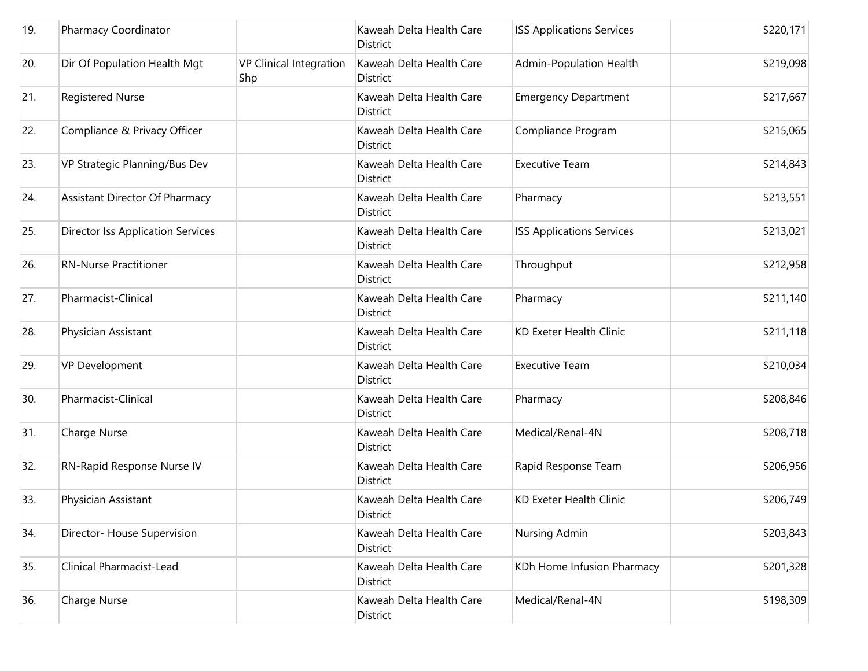| 19. | Pharmacy Coordinator                     |                                       | Kaweah Delta Health Care<br>District | <b>ISS Applications Services</b> | \$220,171 |
|-----|------------------------------------------|---------------------------------------|--------------------------------------|----------------------------------|-----------|
| 20. | Dir Of Population Health Mgt             | <b>VP Clinical Integration</b><br>Shp | Kaweah Delta Health Care<br>District | Admin-Population Health          | \$219,098 |
| 21. | <b>Registered Nurse</b>                  |                                       | Kaweah Delta Health Care<br>District | <b>Emergency Department</b>      | \$217,667 |
| 22. | Compliance & Privacy Officer             |                                       | Kaweah Delta Health Care<br>District | Compliance Program               | \$215,065 |
| 23. | VP Strategic Planning/Bus Dev            |                                       | Kaweah Delta Health Care<br>District | <b>Executive Team</b>            | \$214,843 |
| 24. | Assistant Director Of Pharmacy           |                                       | Kaweah Delta Health Care<br>District | Pharmacy                         | \$213,551 |
| 25. | <b>Director Iss Application Services</b> |                                       | Kaweah Delta Health Care<br>District | <b>ISS Applications Services</b> | \$213,021 |
| 26. | <b>RN-Nurse Practitioner</b>             |                                       | Kaweah Delta Health Care<br>District | Throughput                       | \$212,958 |
| 27. | Pharmacist-Clinical                      |                                       | Kaweah Delta Health Care<br>District | Pharmacy                         | \$211,140 |
| 28. | Physician Assistant                      |                                       | Kaweah Delta Health Care<br>District | KD Exeter Health Clinic          | \$211,118 |
| 29. | VP Development                           |                                       | Kaweah Delta Health Care<br>District | <b>Executive Team</b>            | \$210,034 |
| 30. | Pharmacist-Clinical                      |                                       | Kaweah Delta Health Care<br>District | Pharmacy                         | \$208,846 |
| 31. | <b>Charge Nurse</b>                      |                                       | Kaweah Delta Health Care<br>District | Medical/Renal-4N                 | \$208,718 |
| 32. | RN-Rapid Response Nurse IV               |                                       | Kaweah Delta Health Care<br>District | Rapid Response Team              | \$206,956 |
| 33. | Physician Assistant                      |                                       | Kaweah Delta Health Care<br>District | <b>KD Exeter Health Clinic</b>   | \$206,749 |
| 34. | Director- House Supervision              |                                       | Kaweah Delta Health Care<br>District | Nursing Admin                    | \$203,843 |
| 35. | Clinical Pharmacist-Lead                 |                                       | Kaweah Delta Health Care<br>District | KDh Home Infusion Pharmacy       | \$201,328 |
| 36. | Charge Nurse                             |                                       | Kaweah Delta Health Care<br>District | Medical/Renal-4N                 | \$198,309 |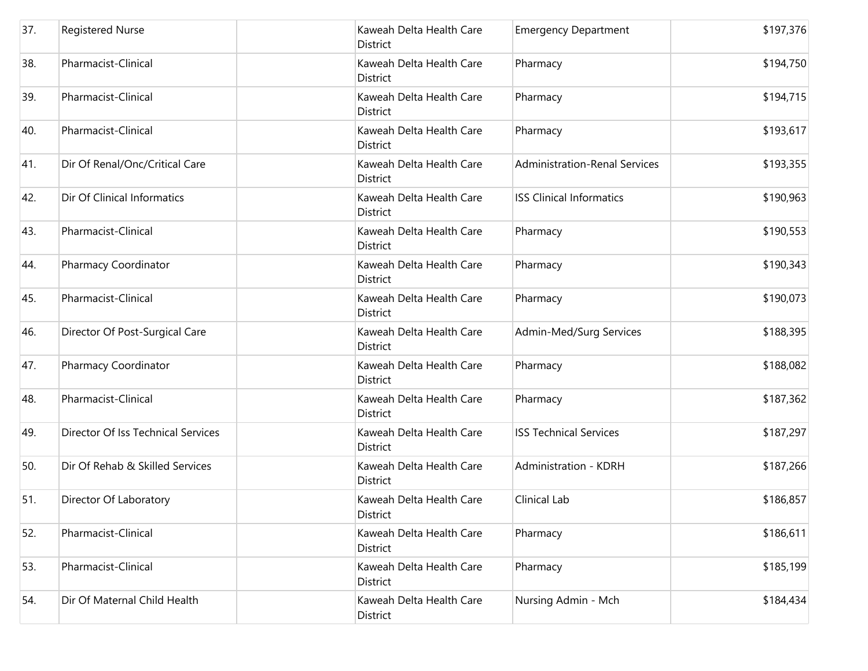| 37. | <b>Registered Nurse</b>            | Kaweah Delta Health Care<br>District        | <b>Emergency Department</b>          | \$197,376 |
|-----|------------------------------------|---------------------------------------------|--------------------------------------|-----------|
| 38. | Pharmacist-Clinical                | Kaweah Delta Health Care<br>District        | Pharmacy                             | \$194,750 |
| 39. | Pharmacist-Clinical                | Kaweah Delta Health Care<br>District        | Pharmacy                             | \$194,715 |
| 40. | Pharmacist-Clinical                | Kaweah Delta Health Care<br><b>District</b> | Pharmacy                             | \$193,617 |
| 41. | Dir Of Renal/Onc/Critical Care     | Kaweah Delta Health Care<br>District        | <b>Administration-Renal Services</b> | \$193,355 |
| 42. | Dir Of Clinical Informatics        | Kaweah Delta Health Care<br>District        | <b>ISS Clinical Informatics</b>      | \$190,963 |
| 43. | Pharmacist-Clinical                | Kaweah Delta Health Care<br><b>District</b> | Pharmacy                             | \$190,553 |
| 44. | Pharmacy Coordinator               | Kaweah Delta Health Care<br>District        | Pharmacy                             | \$190,343 |
| 45. | Pharmacist-Clinical                | Kaweah Delta Health Care<br>District        | Pharmacy                             | \$190,073 |
| 46. | Director Of Post-Surgical Care     | Kaweah Delta Health Care<br>District        | Admin-Med/Surg Services              | \$188,395 |
| 47. | Pharmacy Coordinator               | Kaweah Delta Health Care<br>District        | Pharmacy                             | \$188,082 |
| 48. | Pharmacist-Clinical                | Kaweah Delta Health Care<br><b>District</b> | Pharmacy                             | \$187,362 |
| 49. | Director Of Iss Technical Services | Kaweah Delta Health Care<br>District        | <b>ISS Technical Services</b>        | \$187,297 |
| 50. | Dir Of Rehab & Skilled Services    | Kaweah Delta Health Care<br><b>District</b> | Administration - KDRH                | \$187,266 |
| 51. | Director Of Laboratory             | Kaweah Delta Health Care<br>District        | Clinical Lab                         | \$186,857 |
| 52. | Pharmacist-Clinical                | Kaweah Delta Health Care<br><b>District</b> | Pharmacy                             | \$186,611 |
| 53. | Pharmacist-Clinical                | Kaweah Delta Health Care<br>District        | Pharmacy                             | \$185,199 |
| 54. | Dir Of Maternal Child Health       | Kaweah Delta Health Care<br>District        | Nursing Admin - Mch                  | \$184,434 |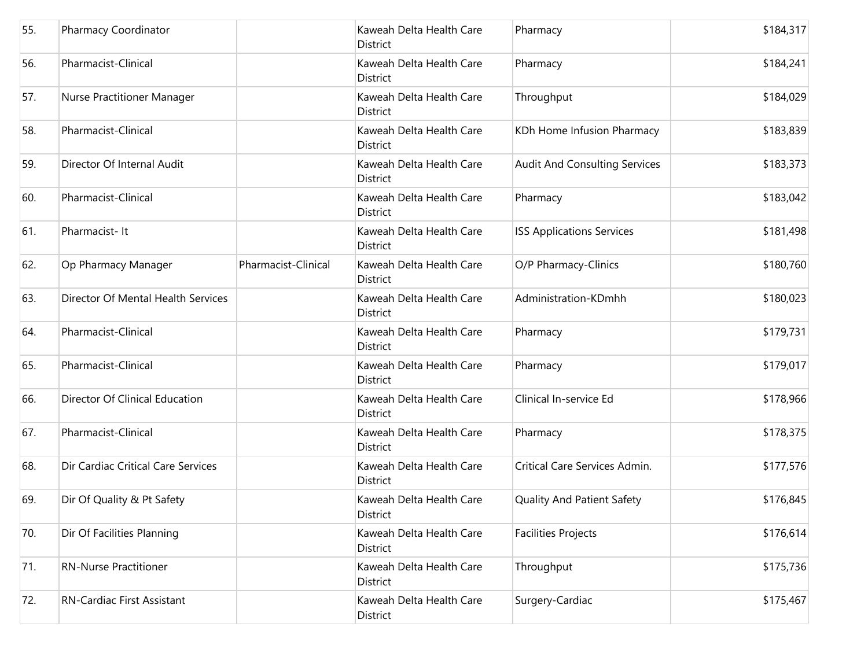| 55. | Pharmacy Coordinator               |                     | Kaweah Delta Health Care<br>District        | Pharmacy                             | \$184,317 |
|-----|------------------------------------|---------------------|---------------------------------------------|--------------------------------------|-----------|
| 56. | Pharmacist-Clinical                |                     | Kaweah Delta Health Care<br>District        | Pharmacy                             | \$184,241 |
| 57. | Nurse Practitioner Manager         |                     | Kaweah Delta Health Care<br>District        | Throughput                           | \$184,029 |
| 58. | Pharmacist-Clinical                |                     | Kaweah Delta Health Care<br>District        | KDh Home Infusion Pharmacy           | \$183,839 |
| 59. | Director Of Internal Audit         |                     | Kaweah Delta Health Care<br>District        | <b>Audit And Consulting Services</b> | \$183,373 |
| 60. | Pharmacist-Clinical                |                     | Kaweah Delta Health Care<br>District        | Pharmacy                             | \$183,042 |
| 61. | Pharmacist-It                      |                     | Kaweah Delta Health Care<br>District        | <b>ISS Applications Services</b>     | \$181,498 |
| 62. | Op Pharmacy Manager                | Pharmacist-Clinical | Kaweah Delta Health Care<br>District        | O/P Pharmacy-Clinics                 | \$180,760 |
| 63. | Director Of Mental Health Services |                     | Kaweah Delta Health Care<br><b>District</b> | Administration-KDmhh                 | \$180,023 |
| 64. | Pharmacist-Clinical                |                     | Kaweah Delta Health Care<br>District        | Pharmacy                             | \$179,731 |
| 65. | Pharmacist-Clinical                |                     | Kaweah Delta Health Care<br>District        | Pharmacy                             | \$179,017 |
| 66. | Director Of Clinical Education     |                     | Kaweah Delta Health Care<br>District        | Clinical In-service Ed               | \$178,966 |
| 67. | Pharmacist-Clinical                |                     | Kaweah Delta Health Care<br>District        | Pharmacy                             | \$178,375 |
| 68. | Dir Cardiac Critical Care Services |                     | Kaweah Delta Health Care<br>District        | Critical Care Services Admin.        | \$177,576 |
| 69. | Dir Of Quality & Pt Safety         |                     | Kaweah Delta Health Care<br>District        | Quality And Patient Safety           | \$176,845 |
| 70. | Dir Of Facilities Planning         |                     | Kaweah Delta Health Care<br>District        | <b>Facilities Projects</b>           | \$176,614 |
| 71. | <b>RN-Nurse Practitioner</b>       |                     | Kaweah Delta Health Care<br>District        | Throughput                           | \$175,736 |
| 72. | RN-Cardiac First Assistant         |                     | Kaweah Delta Health Care<br>District        | Surgery-Cardiac                      | \$175,467 |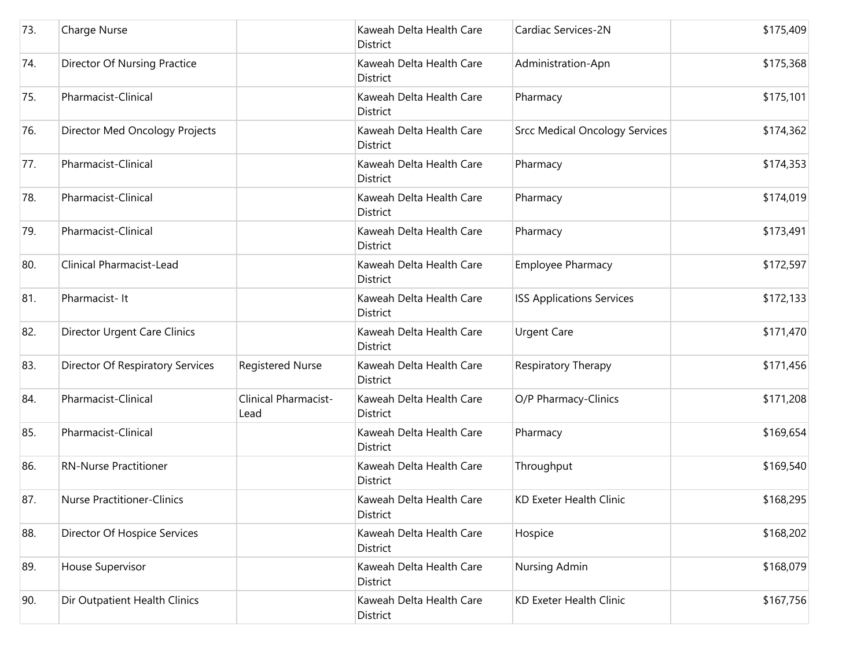| 73. | Charge Nurse                        |                              | Kaweah Delta Health Care<br><b>District</b> | Cardiac Services-2N                   | \$175,409 |
|-----|-------------------------------------|------------------------------|---------------------------------------------|---------------------------------------|-----------|
| 74. | <b>Director Of Nursing Practice</b> |                              | Kaweah Delta Health Care<br>District        | Administration-Apn                    | \$175,368 |
| 75. | Pharmacist-Clinical                 |                              | Kaweah Delta Health Care<br>District        | Pharmacy                              | \$175,101 |
| 76. | Director Med Oncology Projects      |                              | Kaweah Delta Health Care<br><b>District</b> | <b>Srcc Medical Oncology Services</b> | \$174,362 |
| 77. | Pharmacist-Clinical                 |                              | Kaweah Delta Health Care<br><b>District</b> | Pharmacy                              | \$174,353 |
| 78. | Pharmacist-Clinical                 |                              | Kaweah Delta Health Care<br><b>District</b> | Pharmacy                              | \$174,019 |
| 79. | Pharmacist-Clinical                 |                              | Kaweah Delta Health Care<br><b>District</b> | Pharmacy                              | \$173,491 |
| 80. | Clinical Pharmacist-Lead            |                              | Kaweah Delta Health Care<br><b>District</b> | Employee Pharmacy                     | \$172,597 |
| 81. | Pharmacist-It                       |                              | Kaweah Delta Health Care<br><b>District</b> | <b>ISS Applications Services</b>      | \$172,133 |
| 82. | <b>Director Urgent Care Clinics</b> |                              | Kaweah Delta Health Care<br><b>District</b> | <b>Urgent Care</b>                    | \$171,470 |
| 83. | Director Of Respiratory Services    | <b>Registered Nurse</b>      | Kaweah Delta Health Care<br><b>District</b> | Respiratory Therapy                   | \$171,456 |
| 84. | Pharmacist-Clinical                 | Clinical Pharmacist-<br>Lead | Kaweah Delta Health Care<br>District        | O/P Pharmacy-Clinics                  | \$171,208 |
| 85. | Pharmacist-Clinical                 |                              | Kaweah Delta Health Care<br><b>District</b> | Pharmacy                              | \$169,654 |
| 86. | <b>RN-Nurse Practitioner</b>        |                              | Kaweah Delta Health Care<br><b>District</b> | Throughput                            | \$169,540 |
| 87. | <b>Nurse Practitioner-Clinics</b>   |                              | Kaweah Delta Health Care<br>District        | <b>KD Exeter Health Clinic</b>        | \$168,295 |
| 88. | Director Of Hospice Services        |                              | Kaweah Delta Health Care<br>District        | Hospice                               | \$168,202 |
| 89. | House Supervisor                    |                              | Kaweah Delta Health Care<br>District        | Nursing Admin                         | \$168,079 |
| 90. | Dir Outpatient Health Clinics       |                              | Kaweah Delta Health Care<br>District        | <b>KD Exeter Health Clinic</b>        | \$167,756 |